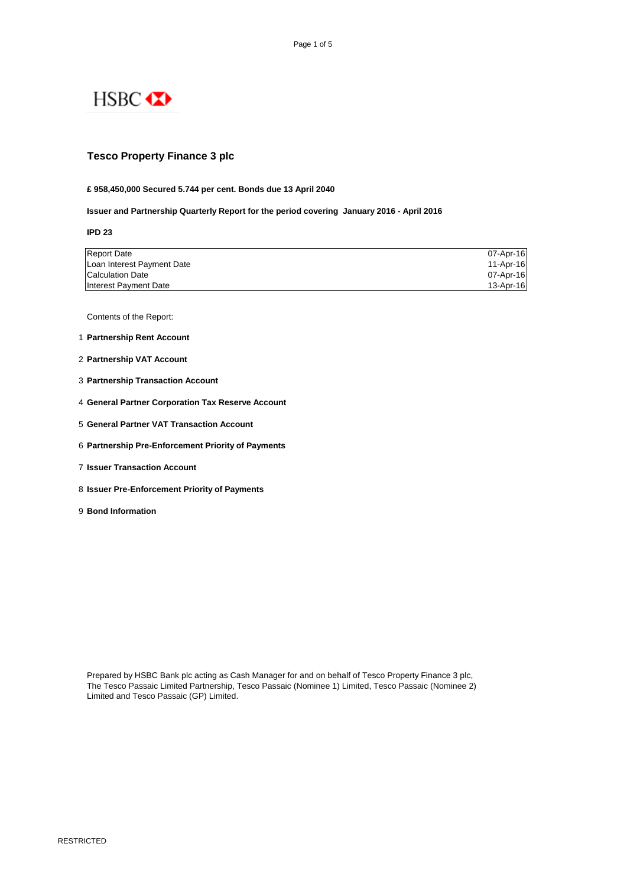

# **Tesco Property Finance 3 plc**

#### **£ 958,450,000 Secured 5.744 per cent. Bonds due 13 April 2040**

**Issuer and Partnership Quarterly Report for the period covering January 2016 - April 2016**

**IPD 23**

| <b>Report Date</b>         | 07-Apr-16 |
|----------------------------|-----------|
| Loan Interest Payment Date | 11-Apr-16 |
| <b>Calculation Date</b>    | 07-Apr-16 |
| Interest Payment Date      | 13-Apr-16 |

Contents of the Report:

- 1 **Partnership Rent Account**
- 2 **Partnership VAT Account**
- 3 **Partnership Transaction Account**
- 4 **General Partner Corporation Tax Reserve Account**
- 5 **General Partner VAT Transaction Account**
- 6 **Partnership Pre-Enforcement Priority of Payments**
- 7 **Issuer Transaction Account**
- 8 **Issuer Pre-Enforcement Priority of Payments**
- 9 **Bond Information**

Prepared by HSBC Bank plc acting as Cash Manager for and on behalf of Tesco Property Finance 3 plc, The Tesco Passaic Limited Partnership, Tesco Passaic (Nominee 1) Limited, Tesco Passaic (Nominee 2) Limited and Tesco Passaic (GP) Limited.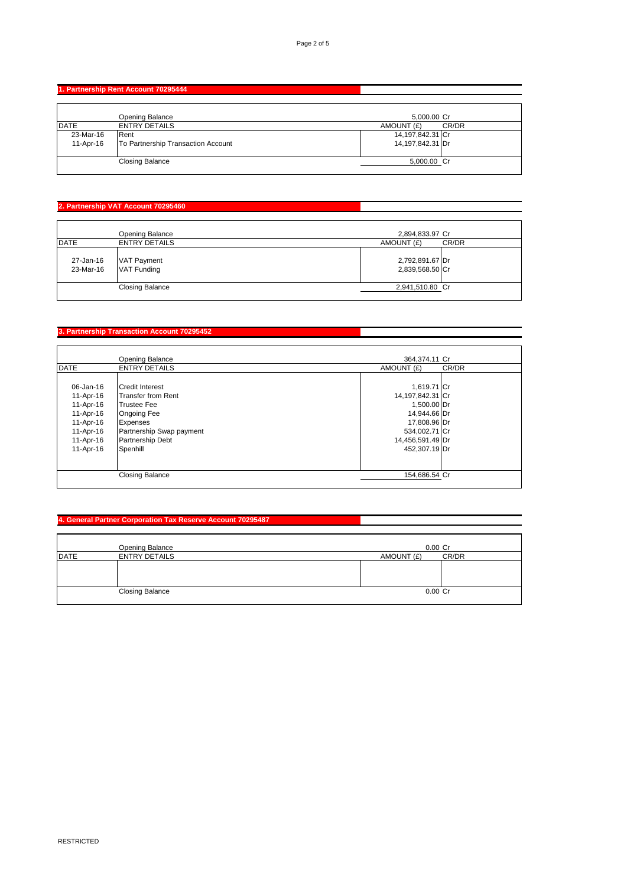# **1. Partnership Rent Account 70295444**

|                        | Opening Balance                            | 5,000.00 Cr                          |       |
|------------------------|--------------------------------------------|--------------------------------------|-------|
| <b>IDATE</b>           | <b>ENTRY DETAILS</b>                       | AMOUNT (£)                           | CR/DR |
| 23-Mar-16<br>11-Apr-16 | Rent<br>To Partnership Transaction Account | 14,197,842.31 Cr<br>14,197,842.31 Dr |       |
|                        | Closing Balance                            | 5,000.00 Cr                          |       |

# **2. Partnership VAT Account 70295460**

|                        | Opening Balance                          | 2,894,833.97 Cr                    |
|------------------------|------------------------------------------|------------------------------------|
| <b>IDATE</b>           | <b>ENTRY DETAILS</b>                     | AMOUNT (£)<br>CR/DR                |
| 27-Jan-16<br>23-Mar-16 | <b>VAT Payment</b><br><b>VAT Funding</b> | 2,792,891.67 Dr<br>2,839,568.50 Cr |
|                        | <b>Closing Balance</b>                   | 2,941,510.80 Cr                    |

**Contract Contract Contract Contract** 

I.

#### **3. Partnership Transaction Account 70295452**

|             | <b>Opening Balance</b>    | 364,374.11 Cr       |  |
|-------------|---------------------------|---------------------|--|
| <b>DATE</b> | <b>ENTRY DETAILS</b>      | AMOUNT (£)<br>CR/DR |  |
|             |                           |                     |  |
| 06-Jan-16   | <b>Credit Interest</b>    | 1,619.71 Cr         |  |
| 11-Apr-16   | <b>Transfer from Rent</b> | 14,197,842.31 Cr    |  |
| 11-Apr-16   | <b>Trustee Fee</b>        | 1,500.00 Dr         |  |
| 11-Apr-16   | <b>Ongoing Fee</b>        | 14,944.66 Dr        |  |
| 11-Apr-16   | Expenses                  | 17,808.96 Dr        |  |
| 11-Apr-16   | Partnership Swap payment  | 534,002.71 Cr       |  |
| 11-Apr-16   | <b>Partnership Debt</b>   | 14,456,591.49 Dr    |  |
| 11-Apr-16   | Spenhill                  | 452.307.19 Dr       |  |
|             |                           |                     |  |
|             |                           |                     |  |
|             | <b>Closing Balance</b>    | 154,686.54 Cr       |  |

# **4. General Partner Corporation Tax Reserve Account 70295487**

|             | Opening Balance        | $0.00$ Cr  |       |
|-------------|------------------------|------------|-------|
| <b>DATE</b> | <b>ENTRY DETAILS</b>   | AMOUNT (£) | CR/DR |
|             |                        |            |       |
|             |                        |            |       |
|             |                        |            |       |
|             | <b>Closing Balance</b> | $0.00$ Cr  |       |
|             |                        |            |       |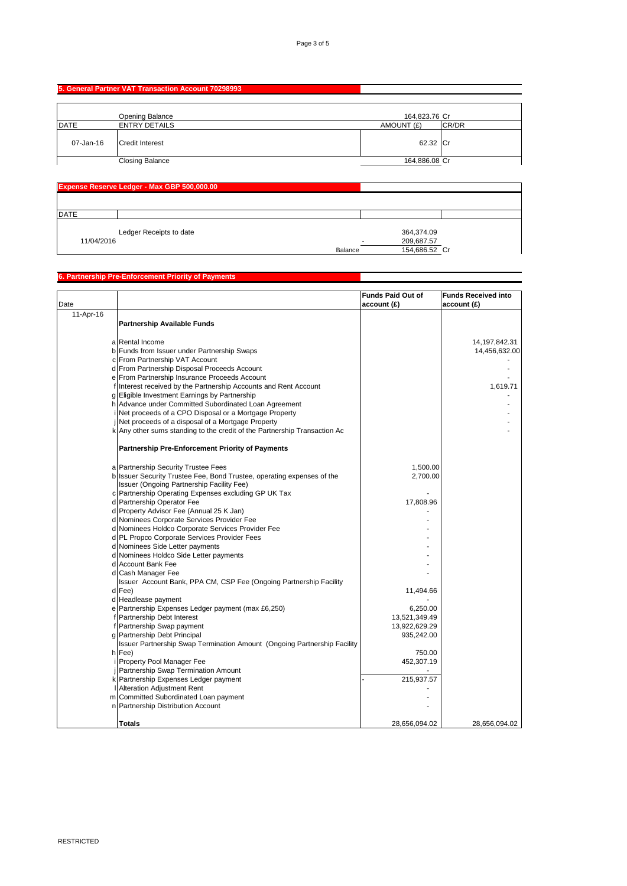# **5. General Partner VAT Transaction Account 70298993**

|             | Opening Balance        | 164,823.76 Cr |       |
|-------------|------------------------|---------------|-------|
| <b>DATE</b> | <b>ENTRY DETAILS</b>   | AMOUNT (£)    | CR/DR |
| 07-Jan-16   | <b>Credit Interest</b> | 62.32 Cr      |       |
|             | <b>Closing Balance</b> | 164,886.08 Cr |       |

|              | Expense Reserve Ledger - Max GBP 500,000.00 |         |                                           |  |
|--------------|---------------------------------------------|---------|-------------------------------------------|--|
| <b>IDATE</b> |                                             |         |                                           |  |
| 11/04/2016   | Ledger Receipts to date                     | Balance | 364,374.09<br>209,687.57<br>154,686.52 Cr |  |

#### **6. Partnership Pre-Enforcement Priority of Payments**

|           |                                                                           | <b>Funds Paid Out of</b> | <b>Funds Received into</b> |
|-----------|---------------------------------------------------------------------------|--------------------------|----------------------------|
| Date      |                                                                           | account (£)              | account (£)                |
| 11-Apr-16 |                                                                           |                          |                            |
|           | <b>Partnership Available Funds</b>                                        |                          |                            |
|           |                                                                           |                          |                            |
|           | a Rental Income                                                           |                          | 14,197,842.31              |
|           | b Funds from Issuer under Partnership Swaps                               |                          | 14,456,632.00              |
|           | c From Partnership VAT Account                                            |                          |                            |
|           | d From Partnership Disposal Proceeds Account                              |                          |                            |
|           | e From Partnership Insurance Proceeds Account                             |                          |                            |
|           | f Interest received by the Partnership Accounts and Rent Account          |                          | 1,619.71                   |
|           | g Eligible Investment Earnings by Partnership                             |                          |                            |
|           | h Advance under Committed Subordinated Loan Agreement                     |                          |                            |
|           | Net proceeds of a CPO Disposal or a Mortgage Property                     |                          |                            |
|           | Net proceeds of a disposal of a Mortgage Property                         |                          |                            |
|           | k Any other sums standing to the credit of the Partnership Transaction Ac |                          |                            |
|           |                                                                           |                          |                            |
|           | <b>Partnership Pre-Enforcement Priority of Payments</b>                   |                          |                            |
|           |                                                                           |                          |                            |
|           | a Partnership Security Trustee Fees                                       | 1,500.00                 |                            |
|           | b Issuer Security Trustee Fee, Bond Trustee, operating expenses of the    | 2,700.00                 |                            |
|           | Issuer (Ongoing Partnership Facility Fee)                                 |                          |                            |
|           | c Partnership Operating Expenses excluding GP UK Tax                      |                          |                            |
|           | d Partnership Operator Fee                                                | 17,808.96                |                            |
|           | d Property Advisor Fee (Annual 25 K Jan)                                  |                          |                            |
|           | d Nominees Corporate Services Provider Fee                                |                          |                            |
|           | d Nominees Holdco Corporate Services Provider Fee                         |                          |                            |
|           | d PL Propco Corporate Services Provider Fees                              |                          |                            |
|           | d Nominees Side Letter payments                                           |                          |                            |
|           | d Nominees Holdco Side Letter payments                                    |                          |                            |
|           | d Account Bank Fee                                                        |                          |                            |
|           | d Cash Manager Fee                                                        |                          |                            |
|           | Issuer Account Bank, PPA CM, CSP Fee (Ongoing Partnership Facility        |                          |                            |
|           | d Fee)                                                                    | 11,494.66                |                            |
|           | d Headlease payment                                                       |                          |                            |
|           | e Partnership Expenses Ledger payment (max £6,250)                        | 6,250.00                 |                            |
|           | f Partnership Debt Interest                                               | 13,521,349.49            |                            |
|           | f Partnership Swap payment                                                | 13,922,629.29            |                            |
|           | g Partnership Debt Principal                                              | 935,242.00               |                            |
|           | Issuer Partnership Swap Termination Amount (Ongoing Partnership Facility  |                          |                            |
|           | h Fee)                                                                    | 750.00                   |                            |
|           | Property Pool Manager Fee                                                 | 452,307.19               |                            |
|           | Partnership Swap Termination Amount                                       |                          |                            |
|           | k Partnership Expenses Ledger payment                                     | 215,937.57               |                            |
|           | <b>Alteration Adjustment Rent</b>                                         |                          |                            |
|           | m Committed Subordinated Loan payment                                     |                          |                            |
|           | n Partnership Distribution Account                                        |                          |                            |
|           |                                                                           |                          |                            |
|           | Totals                                                                    | 28,656,094.02            | 28.656.094.02              |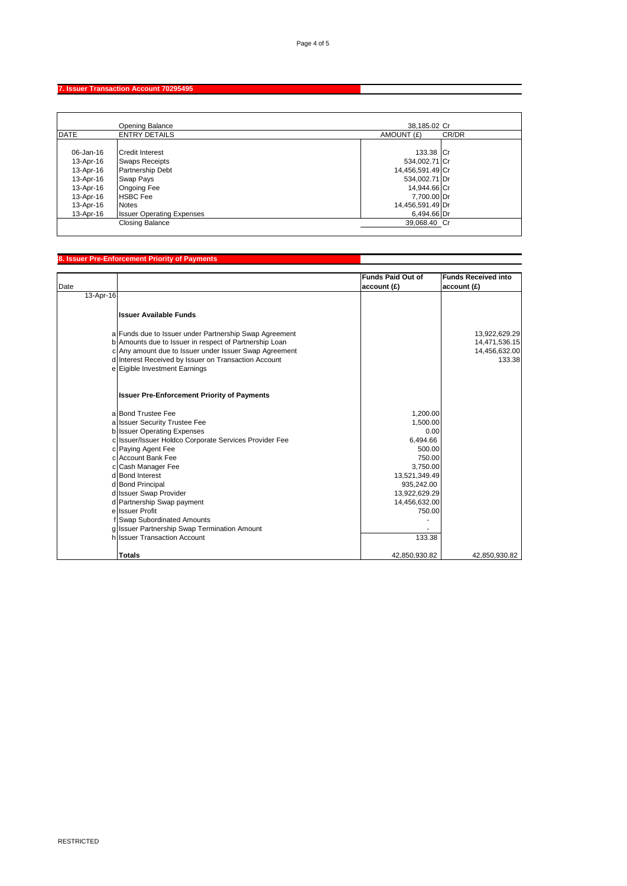# **7. Issuer Transaction Account 70295495**

|             | Opening Balance                  | 38,185.02 Cr        |
|-------------|----------------------------------|---------------------|
| <b>DATE</b> | <b>ENTRY DETAILS</b>             | CR/DR<br>AMOUNT (£) |
|             |                                  |                     |
| 06-Jan-16   | <b>Credit Interest</b>           | 133.38 Cr           |
| 13-Apr-16   | <b>Swaps Receipts</b>            | 534,002.71 Cr       |
| 13-Apr-16   | <b>Partnership Debt</b>          | 14,456,591.49 Cr    |
| 13-Apr-16   | Swap Pays                        | 534,002.71 Dr       |
| 13-Apr-16   | <b>Ongoing Fee</b>               | 14,944.66 Cr        |
| 13-Apr-16   | <b>HSBC</b> Fee                  | 7,700.00 Dr         |
| 13-Apr-16   | <b>Notes</b>                     | 14,456,591.49 Dr    |
| 13-Apr-16   | <b>Issuer Operating Expenses</b> | 6,494.66 Dr         |
|             | Closing Balance                  | 39.068.40 Cr        |
|             |                                  |                     |

#### **8. Issuer Pre-Enforcement Priority of Payments**

| Date      |                                                        | <b>Funds Paid Out of</b><br>account (£) | <b>Funds Received into</b><br>account (£) |
|-----------|--------------------------------------------------------|-----------------------------------------|-------------------------------------------|
| 13-Apr-16 |                                                        |                                         |                                           |
|           |                                                        |                                         |                                           |
|           | Ilssuer Available Funds                                |                                         |                                           |
|           | a Funds due to Issuer under Partnership Swap Agreement |                                         | 13,922,629.29                             |
|           | b Amounts due to Issuer in respect of Partnership Loan |                                         | 14,471,536.15                             |
|           | c Any amount due to Issuer under Issuer Swap Agreement |                                         | 14,456,632.00                             |
|           | d Interest Received by Issuer on Transaction Account   |                                         | 133.38                                    |
|           | e Eigible Investment Earnings                          |                                         |                                           |
|           | <b>Issuer Pre-Enforcement Priority of Payments</b>     |                                         |                                           |
|           | a Bond Trustee Fee                                     | 1,200.00                                |                                           |
|           | a Issuer Security Trustee Fee                          | 1,500.00                                |                                           |
|           | b Issuer Operating Expenses                            | 0.00                                    |                                           |
|           | c Issuer/Issuer Holdco Corporate Services Provider Fee | 6.494.66                                |                                           |
|           | c Paying Agent Fee                                     | 500.00                                  |                                           |
|           | c Account Bank Fee                                     | 750.00                                  |                                           |
|           | c Cash Manager Fee                                     | 3,750.00                                |                                           |
|           | d Bond Interest                                        | 13,521,349.49                           |                                           |
|           | d Bond Principal                                       | 935,242.00                              |                                           |
|           | d Issuer Swap Provider                                 | 13,922,629.29                           |                                           |
|           | d Partnership Swap payment<br>e Issuer Profit          | 14,456,632.00                           |                                           |
|           | f Swap Subordinated Amounts                            | 750.00                                  |                                           |
|           | g Issuer Partnership Swap Termination Amount           |                                         |                                           |
|           | h Issuer Transaction Account                           | 133.38                                  |                                           |
|           |                                                        |                                         |                                           |
|           | Totals                                                 | 42,850,930.82                           | 42.850.930.82                             |